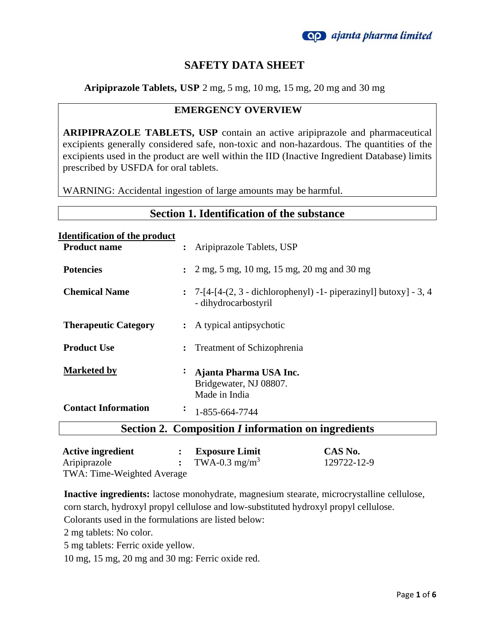

### **SAFETY DATA SHEET**

**Aripiprazole Tablets, USP** 2 mg, 5 mg, 10 mg, 15 mg, 20 mg and 30 mg

#### **EMERGENCY OVERVIEW**

**ARIPIPRAZOLE TABLETS, USP** contain an active aripiprazole and pharmaceutical excipients generally considered safe, non-toxic and non-hazardous. The quantities of the excipients used in the product are well within the IID (Inactive Ingredient Database) limits prescribed by USFDA for oral tablets.

WARNING: Accidental ingestion of large amounts may be harmful.

| <b>Section 1. Identification of the substance</b>                  |                                                                                                  |  |
|--------------------------------------------------------------------|--------------------------------------------------------------------------------------------------|--|
| <u><b>Identification of the product</b></u><br><b>Product name</b> | : Aripiprazole Tablets, USP                                                                      |  |
| <b>Potencies</b>                                                   | 2 mg, 5 mg, 10 mg, 15 mg, 20 mg and 30 mg                                                        |  |
| <b>Chemical Name</b>                                               | $\colon$ 7-[4-[4-(2, 3 - dichlorophenyl) -1- piperazinyl] butoxy] - 3, 4<br>- dihydrocarbostyril |  |
| <b>Therapeutic Category</b>                                        | : A typical antipsychotic                                                                        |  |
| <b>Product Use</b>                                                 | <b>Treatment of Schizophrenia</b>                                                                |  |
| <b>Marketed by</b>                                                 | Ajanta Pharma USA Inc.<br>Bridgewater, NJ 08807.<br>Made in India                                |  |
| <b>Contact Information</b>                                         | $\ddot{\cdot}$<br>1-855-664-7744                                                                 |  |
| Section 2. Composition <i>I</i> information on ingredients         |                                                                                                  |  |

| <b>Active ingredient</b>   | <b>Exposure Limit</b>     | CAS No.     |
|----------------------------|---------------------------|-------------|
| Aripiprazole               | TWA-0.3 mg/m <sup>3</sup> | 129722-12-9 |
| TWA: Time-Weighted Average |                           |             |

**Inactive ingredients:** lactose monohydrate, magnesium stearate, microcrystalline cellulose, corn starch, hydroxyl propyl cellulose and low-substituted hydroxyl propyl cellulose.

Colorants used in the formulations are listed below:

2 mg tablets: No color.

5 mg tablets: Ferric oxide yellow.

10 mg, 15 mg, 20 mg and 30 mg: Ferric oxide red.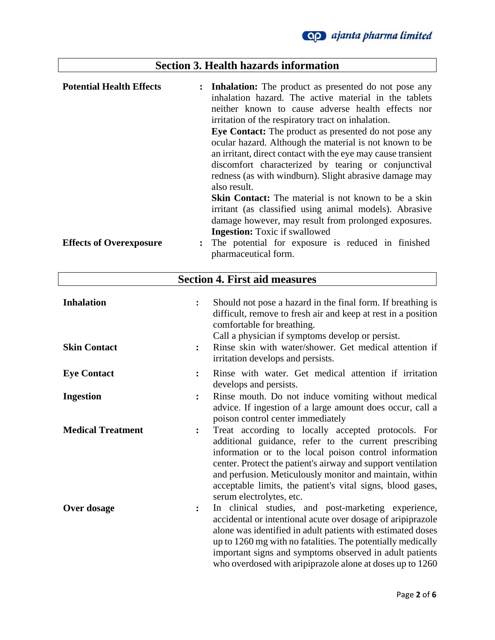# **Section 3. Health hazards information**

| <b>Potential Health Effects</b> | <b>Inhalation:</b> The product as presented do not pose any<br>$\ddot{\cdot}$<br>inhalation hazard. The active material in the tablets<br>neither known to cause adverse health effects nor<br>irritation of the respiratory tract on inhalation. |
|---------------------------------|---------------------------------------------------------------------------------------------------------------------------------------------------------------------------------------------------------------------------------------------------|
|                                 | Eye Contact: The product as presented do not pose any<br>ocular hazard. Although the material is not known to be<br>an irritant, direct contact with the eye may cause transient                                                                  |
|                                 | discomfort characterized by tearing or conjunctival<br>redness (as with windburn). Slight abrasive damage may<br>also result.                                                                                                                     |
|                                 | Skin Contact: The material is not known to be a skin<br>irritant (as classified using animal models). Abrasive<br>damage however, may result from prolonged exposures.                                                                            |
| <b>Effects of Overexposure</b>  | <b>Ingestion:</b> Toxic if swallowed<br>The potential for exposure is reduced in finished<br>pharmaceutical form.                                                                                                                                 |

| <b>Section 4. First aid measures</b>     |                                                                                                                                                                                                                                                                                                                                                                                                               |  |
|------------------------------------------|---------------------------------------------------------------------------------------------------------------------------------------------------------------------------------------------------------------------------------------------------------------------------------------------------------------------------------------------------------------------------------------------------------------|--|
| <b>Inhalation</b><br><b>Skin Contact</b> | Should not pose a hazard in the final form. If breathing is<br>$\ddot{\cdot}$<br>difficult, remove to fresh air and keep at rest in a position<br>comfortable for breathing.<br>Call a physician if symptoms develop or persist.<br>Rinse skin with water/shower. Get medical attention if<br>irritation develops and persists.                                                                               |  |
| <b>Eye Contact</b>                       | Rinse with water. Get medical attention if irritation<br>$\ddot{\cdot}$<br>develops and persists.                                                                                                                                                                                                                                                                                                             |  |
| <b>Ingestion</b>                         | Rinse mouth. Do not induce vomiting without medical<br>$\ddot{\cdot}$<br>advice. If ingestion of a large amount does occur, call a<br>poison control center immediately                                                                                                                                                                                                                                       |  |
| <b>Medical Treatment</b>                 | Treat according to locally accepted protocols. For<br>$\ddot{\cdot}$<br>additional guidance, refer to the current prescribing<br>information or to the local poison control information<br>center. Protect the patient's airway and support ventilation<br>and perfusion. Meticulously monitor and maintain, within<br>acceptable limits, the patient's vital signs, blood gases,<br>serum electrolytes, etc. |  |
| Over dosage                              | In clinical studies, and post-marketing experience,<br>፡<br>accidental or intentional acute over dosage of aripiprazole<br>alone was identified in adult patients with estimated doses<br>up to 1260 mg with no fatalities. The potentially medically<br>important signs and symptoms observed in adult patients<br>who overdosed with aripiprazole alone at doses up to 1260                                 |  |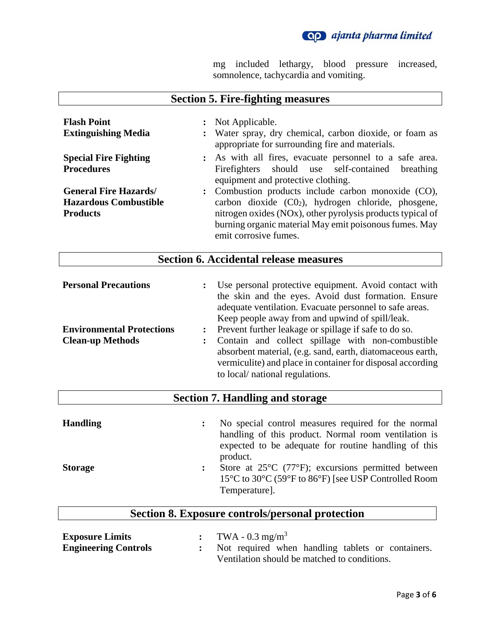

mg included lethargy, blood pressure increased, somnolence, tachycardia and vomiting.

| <b>Section 5. Fire-fighting measures</b>                                                   |                                                                                                                                                                                                                                                                                                                                                                                                                                                                                                                                                               |  |
|--------------------------------------------------------------------------------------------|---------------------------------------------------------------------------------------------------------------------------------------------------------------------------------------------------------------------------------------------------------------------------------------------------------------------------------------------------------------------------------------------------------------------------------------------------------------------------------------------------------------------------------------------------------------|--|
| <b>Flash Point</b><br><b>Extinguishing Media</b>                                           | Not Applicable.<br>$\ddot{\cdot}$<br>Water spray, dry chemical, carbon dioxide, or foam as<br>appropriate for surrounding fire and materials.                                                                                                                                                                                                                                                                                                                                                                                                                 |  |
| <b>Special Fire Fighting</b><br><b>Procedures</b>                                          | As with all fires, evacuate personnel to a safe area.<br>should use self-contained<br>Firefighters<br>breathing<br>equipment and protective clothing.                                                                                                                                                                                                                                                                                                                                                                                                         |  |
| <b>General Fire Hazards/</b><br><b>Hazardous Combustible</b><br><b>Products</b>            | Combustion products include carbon monoxide (CO),<br>$\ddot{\cdot}$<br>carbon dioxide (C02), hydrogen chloride, phosgene,<br>nitrogen oxides (NOx), other pyrolysis products typical of<br>burning organic material May emit poisonous fumes. May<br>emit corrosive fumes.                                                                                                                                                                                                                                                                                    |  |
|                                                                                            | <b>Section 6. Accidental release measures</b>                                                                                                                                                                                                                                                                                                                                                                                                                                                                                                                 |  |
| <b>Personal Precautions</b><br><b>Environmental Protections</b><br><b>Clean-up Methods</b> | Use personal protective equipment. Avoid contact with<br>$\ddot{\cdot}$<br>the skin and the eyes. Avoid dust formation. Ensure<br>adequate ventilation. Evacuate personnel to safe areas.<br>Keep people away from and upwind of spill/leak.<br>Prevent further leakage or spillage if safe to do so.<br>$\ddot{\cdot}$<br>Contain and collect spillage with non-combustible<br>$\ddot{\cdot}$<br>absorbent material, (e.g. sand, earth, diatomaceous earth,<br>vermiculite) and place in container for disposal according<br>to local/ national regulations. |  |

## **Section 7. Handling and storage**

| <b>Handling</b> | No special control measures required for the normal<br>handling of this product. Normal room ventilation is<br>expected to be adequate for routine handling of this<br>product. |
|-----------------|---------------------------------------------------------------------------------------------------------------------------------------------------------------------------------|
| <b>Storage</b>  | Store at $25^{\circ}$ C (77 $^{\circ}$ F); excursions permitted between<br>15°C to 30°C (59°F to 86°F) [see USP Controlled Room<br>Temperature.                                 |

## **Section 8. Exposure controls/personal protection**

| <b>Exposure Limits</b>      | TWA - $0.3 \text{ mg/m}^3$                        |
|-----------------------------|---------------------------------------------------|
| <b>Engineering Controls</b> | Not required when handling tablets or containers. |
|                             | Ventilation should be matched to conditions.      |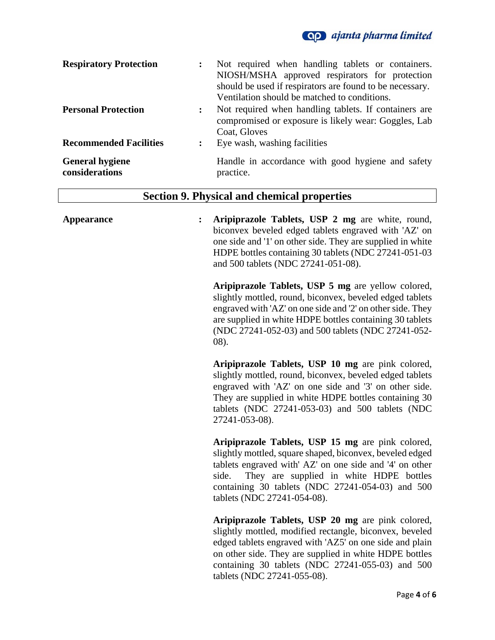

| <b>Respiratory Protection</b>            | Not required when handling tablets or containers.<br>NIOSH/MSHA approved respirators for protection<br>should be used if respirators are found to be necessary.<br>Ventilation should be matched to conditions. |
|------------------------------------------|-----------------------------------------------------------------------------------------------------------------------------------------------------------------------------------------------------------------|
| <b>Personal Protection</b>               | Not required when handling tablets. If containers are<br>compromised or exposure is likely wear: Goggles, Lab<br>Coat, Gloves                                                                                   |
| <b>Recommended Facilities</b>            | Eye wash, washing facilities                                                                                                                                                                                    |
| <b>General hygiene</b><br>considerations | Handle in accordance with good hygiene and safety<br>practice.                                                                                                                                                  |

# **Section 9. Physical and chemical properties**

| $\ddot{\cdot}$<br><b>Appearance</b> | Aripiprazole Tablets, USP 2 mg are white, round,<br>biconvex beveled edged tablets engraved with 'AZ' on<br>one side and '1' on other side. They are supplied in white<br>HDPE bottles containing 30 tablets (NDC 27241-051-03<br>and 500 tablets (NDC 27241-051-08).                                           |
|-------------------------------------|-----------------------------------------------------------------------------------------------------------------------------------------------------------------------------------------------------------------------------------------------------------------------------------------------------------------|
|                                     | Aripiprazole Tablets, USP 5 mg are yellow colored,<br>slightly mottled, round, biconvex, beveled edged tablets<br>engraved with 'AZ' on one side and '2' on other side. They<br>are supplied in white HDPE bottles containing 30 tablets<br>(NDC 27241-052-03) and 500 tablets (NDC 27241-052-<br>$(08)$ .      |
|                                     | Aripiprazole Tablets, USP 10 mg are pink colored,<br>slightly mottled, round, biconvex, beveled edged tablets<br>engraved with 'AZ' on one side and '3' on other side.<br>They are supplied in white HDPE bottles containing 30<br>tablets (NDC 27241-053-03) and 500 tablets (NDC<br>27241-053-08).            |
|                                     | Aripiprazole Tablets, USP 15 mg are pink colored,<br>slightly mottled, square shaped, biconvex, beveled edged<br>tablets engraved with' AZ' on one side and '4' on other<br>They are supplied in white HDPE bottles<br>side.<br>containing 30 tablets (NDC 27241-054-03) and 500<br>tablets (NDC 27241-054-08). |
|                                     | Aripiprazole Tablets, USP 20 mg are pink colored,<br>slightly mottled, modified rectangle, biconvex, beveled<br>edged tablets engraved with 'AZ5' on one side and plain<br>on other side. They are supplied in white HDPE bottles                                                                               |

containing 30 tablets (NDC 27241-055-03) and 500

tablets (NDC 27241-055-08).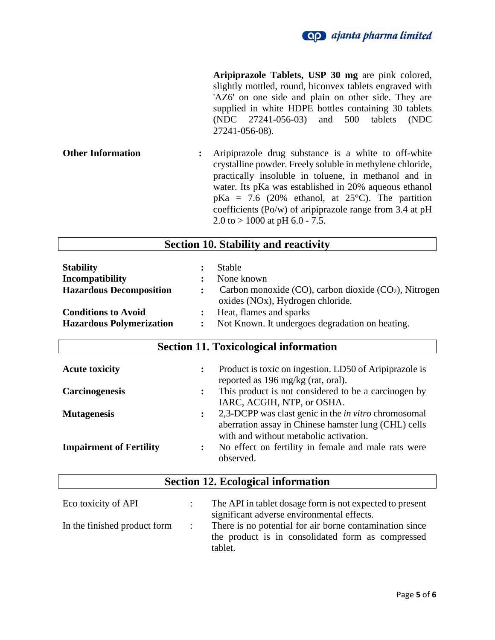

**Aripiprazole Tablets, USP 30 mg** are pink colored, slightly mottled, round, biconvex tablets engraved with 'AZ6' on one side and plain on other side. They are supplied in white HDPE bottles containing 30 tablets (NDC 27241-056-03) and 500 tablets (NDC 27241-056-08).

**Other Information :** Aripiprazole drug substance is a white to off-white crystalline powder. Freely soluble in methylene chloride, practically insoluble in toluene, in methanol and in water. Its pKa was established in 20% aqueous ethanol  $pKa = 7.6$  (20% ethanol, at 25°C). The partition coefficients (Po/w) of aripiprazole range from 3.4 at pH 2.0 to  $> 1000$  at pH 6.0 - 7.5.

| <b>Section 10. Stability and reactivity</b> |                                                                                                |  |
|---------------------------------------------|------------------------------------------------------------------------------------------------|--|
| <b>Stability</b>                            | Stable                                                                                         |  |
| <b>Incompatibility</b>                      | None known                                                                                     |  |
| <b>Hazardous Decomposition</b>              | Carbon monoxide $(CO)$ , carbon dioxide $(CO2)$ , Nitrogen<br>oxides (NOx), Hydrogen chloride. |  |
| <b>Conditions to Avoid</b>                  | Heat, flames and sparks                                                                        |  |
| <b>Hazardous Polymerization</b>             | Not Known. It undergoes degradation on heating.<br>:                                           |  |
| $\sim$<br>. .                               |                                                                                                |  |

| <b>Section 11. Toxicological information</b> |                                                                                                                                                       |  |
|----------------------------------------------|-------------------------------------------------------------------------------------------------------------------------------------------------------|--|
| <b>Acute toxicity</b>                        | Product is toxic on ingestion. LD50 of Aripiprazole is<br>$\ddot{\cdot}$<br>reported as 196 mg/kg (rat, oral).                                        |  |
| <b>Carcinogenesis</b>                        | This product is not considered to be a carcinogen by<br>$\ddot{\cdot}$                                                                                |  |
|                                              | IARC, ACGIH, NTP, or OSHA.                                                                                                                            |  |
| <b>Mutagenesis</b>                           | 2,3-DCPP was clast genic in the <i>in vitro</i> chromosomal                                                                                           |  |
| <b>Impairment of Fertility</b>               | aberration assay in Chinese hamster lung (CHL) cells<br>with and without metabolic activation.<br>No effect on fertility in female and male rats were |  |
|                                              | observed.                                                                                                                                             |  |
| <b>Section 12. Ecological information</b>    |                                                                                                                                                       |  |

| Eco toxicity of API          | The API in tablet dosage form is not expected to present<br>significant adverse environmental effects.                  |
|------------------------------|-------------------------------------------------------------------------------------------------------------------------|
| In the finished product form | There is no potential for air borne contamination since<br>the product is in consolidated form as compressed<br>tablet. |